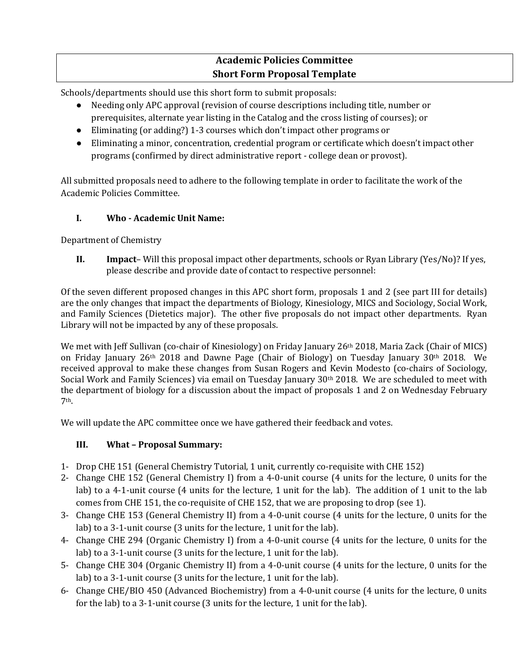# **Academic Policies Committee Short Form Proposal Template**

Schools/departments should use this short form to submit proposals:

- Needing only APC approval (revision of course descriptions including title, number or prerequisites, alternate year listing in the Catalog and the cross listing of courses); or
- Eliminating (or adding?) 1-3 courses which don't impact other programs or
- Eliminating a minor, concentration, credential program or certificate which doesn't impact other programs (confirmed by direct administrative report - college dean or provost).

All submitted proposals need to adhere to the following template in order to facilitate the work of the Academic Policies Committee.

## **I. Who - Academic Unit Name:**

Department of Chemistry

**II. Impact**– Will this proposal impact other departments, schools or Ryan Library (Yes/No)? If yes, please describe and provide date of contact to respective personnel:

Of the seven different proposed changes in this APC short form, proposals 1 and 2 (see part III for details) are the only changes that impact the departments of Biology, Kinesiology, MICS and Sociology, Social Work, and Family Sciences (Dietetics major). The other five proposals do not impact other departments. Ryan Library will not be impacted by any of these proposals.

We met with Jeff Sullivan (co-chair of Kinesiology) on Friday January 26th 2018, Maria Zack (Chair of MICS) on Friday January 26<sup>th</sup> 2018 and Dawne Page (Chair of Biology) on Tuesday January 30<sup>th</sup> 2018. We received approval to make these changes from Susan Rogers and Kevin Modesto (co-chairs of Sociology, Social Work and Family Sciences) via email on Tuesday January 30th 2018. We are scheduled to meet with the department of biology for a discussion about the impact of proposals 1 and 2 on Wednesday February 7th.

We will update the APC committee once we have gathered their feedback and votes.

#### **III. What – Proposal Summary:**

- 1- Drop CHE 151 (General Chemistry Tutorial, 1 unit, currently co-requisite with CHE 152)
- 2- Change CHE 152 (General Chemistry I) from a 4-0-unit course (4 units for the lecture, 0 units for the lab) to a 4-1-unit course (4 units for the lecture, 1 unit for the lab). The addition of 1 unit to the lab comes from CHE 151, the co-requisite of CHE 152, that we are proposing to drop (see 1).
- 3- Change CHE 153 (General Chemistry II) from a 4-0-unit course (4 units for the lecture, 0 units for the lab) to a 3-1-unit course (3 units for the lecture, 1 unit for the lab).
- 4- Change CHE 294 (Organic Chemistry I) from a 4-0-unit course (4 units for the lecture, 0 units for the lab) to a 3-1-unit course (3 units for the lecture, 1 unit for the lab).
- 5- Change CHE 304 (Organic Chemistry II) from a 4-0-unit course (4 units for the lecture, 0 units for the lab) to a 3-1-unit course (3 units for the lecture, 1 unit for the lab).
- 6- Change CHE/BIO 450 (Advanced Biochemistry) from a 4-0-unit course (4 units for the lecture, 0 units for the lab) to a 3-1-unit course (3 units for the lecture, 1 unit for the lab).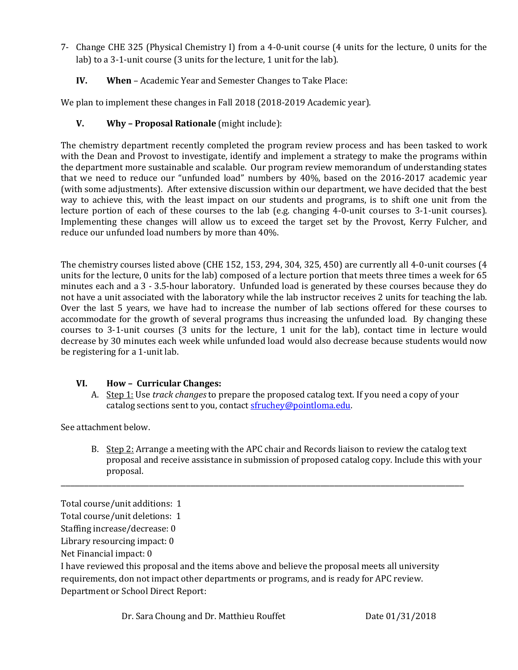- 7- Change CHE 325 (Physical Chemistry I) from a 4-0-unit course (4 units for the lecture, 0 units for the lab) to a 3-1-unit course (3 units for the lecture, 1 unit for the lab).
	- **IV. When**  Academic Year and Semester Changes to Take Place:

We plan to implement these changes in Fall 2018 (2018-2019 Academic year).

### **V. Why – Proposal Rationale** (might include):

The chemistry department recently completed the program review process and has been tasked to work with the Dean and Provost to investigate, identify and implement a strategy to make the programs within the department more sustainable and scalable. Our program review memorandum of understanding states that we need to reduce our "unfunded load" numbers by 40%, based on the 2016-2017 academic year (with some adjustments). After extensive discussion within our department, we have decided that the best way to achieve this, with the least impact on our students and programs, is to shift one unit from the lecture portion of each of these courses to the lab (e.g. changing 4-0-unit courses to 3-1-unit courses). Implementing these changes will allow us to exceed the target set by the Provost, Kerry Fulcher, and reduce our unfunded load numbers by more than 40%.

The chemistry courses listed above (CHE 152, 153, 294, 304, 325, 450) are currently all 4-0-unit courses (4 units for the lecture, 0 units for the lab) composed of a lecture portion that meets three times a week for 65 minutes each and a 3 - 3.5-hour laboratory. Unfunded load is generated by these courses because they do not have a unit associated with the laboratory while the lab instructor receives 2 units for teaching the lab. Over the last 5 years, we have had to increase the number of lab sections offered for these courses to accommodate for the growth of several programs thus increasing the unfunded load. By changing these courses to 3-1-unit courses (3 units for the lecture, 1 unit for the lab), contact time in lecture would decrease by 30 minutes each week while unfunded load would also decrease because students would now be registering for a 1-unit lab.

#### **VI. How – Curricular Changes:**

A. Step 1: Use *track changes* to prepare the proposed catalog text. If you need a copy of your catalog sections sent to you, contac[t sfruchey@pointloma.edu.](mailto:sfruchey@pointloma.edu)

See attachment below.

B. Step 2: Arrange a meeting with the APC chair and Records liaison to review the catalog text proposal and receive assistance in submission of proposed catalog copy. Include this with your proposal.

\_\_\_\_\_\_\_\_\_\_\_\_\_\_\_\_\_\_\_\_\_\_\_\_\_\_\_\_\_\_\_\_\_\_\_\_\_\_\_\_\_\_\_\_\_\_\_\_\_\_\_\_\_\_\_\_\_\_\_\_\_\_\_\_\_\_\_\_\_\_\_\_\_\_\_\_\_\_\_\_\_\_\_\_\_\_\_

Staffing increase/decrease: 0

Library resourcing impact: 0

Net Financial impact: 0

I have reviewed this proposal and the items above and believe the proposal meets all university requirements, don not impact other departments or programs, and is ready for APC review. Department or School Direct Report:

Total course/unit additions: 1

Total course/unit deletions: 1